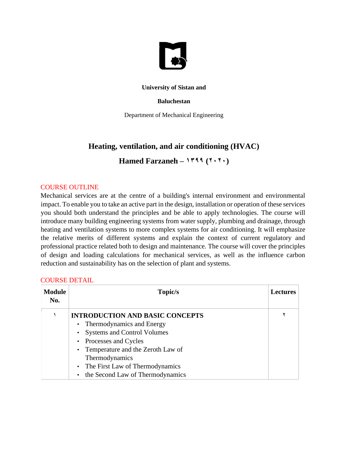

### **University of Sistan and**

### **Baluchestan**

Department of Mechanical Engineering

# **Heating, ventilation, and air conditioning (HVAC)**

Hamed Farzaneh –  $1499 (111)$ 

### COURSE OUTLINE

Mechanical services are at the centre of a building's internal environment and environmental impact. To enable you to take an active part in the design, installation or operation of these services you should both understand the principles and be able to apply technologies. The course will introduce many building engineering systems from water supply, plumbing and drainage, through heating and ventilation systems to more complex systems for air conditioning. It will emphasize the relative merits of different systems and explain the context of current regulatory and professional practice related both to design and maintenance. The course will cover the principles of design and loading calculations for mechanical services, as well as the influence carbon reduction and sustainability has on the selection of plant and systems.

| <b>COURSE DETAIL</b> |  |
|----------------------|--|
|                      |  |

| <b>Module</b><br>No. | Topic/s                                       | <b>Lectures</b> |
|----------------------|-----------------------------------------------|-----------------|
|                      | <b>INTRODUCTION AND BASIC CONCEPTS</b>        |                 |
|                      | • Thermodynamics and Energy                   |                 |
|                      | <b>Systems and Control Volumes</b>            |                 |
|                      | • Processes and Cycles                        |                 |
|                      | • Temperature and the Zeroth Law of           |                 |
|                      | Thermodynamics                                |                 |
|                      | • The First Law of Thermodynamics             |                 |
|                      | the Second Law of Thermodynamics<br>$\bullet$ |                 |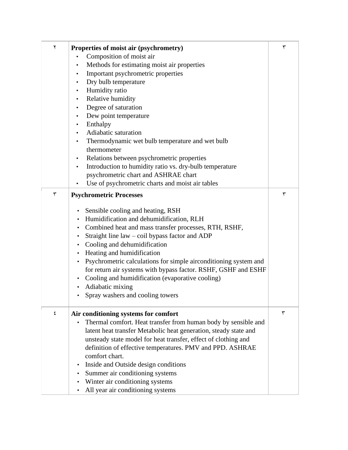| ٢ | Properties of moist air (psychrometry)<br>Composition of moist air<br>$\bullet$            | ٣ |
|---|--------------------------------------------------------------------------------------------|---|
|   | Methods for estimating moist air properties                                                |   |
|   | Important psychrometric properties<br>$\bullet$                                            |   |
|   | Dry bulb temperature<br>$\bullet$                                                          |   |
|   | Humidity ratio<br>$\bullet$                                                                |   |
|   | Relative humidity<br>$\bullet$                                                             |   |
|   | Degree of saturation<br>$\bullet$                                                          |   |
|   | Dew point temperature<br>$\bullet$                                                         |   |
|   | Enthalpy<br>$\bullet$                                                                      |   |
|   | Adiabatic saturation<br>$\bullet$                                                          |   |
|   | Thermodynamic wet bulb temperature and wet bulb                                            |   |
|   | thermometer                                                                                |   |
|   | Relations between psychrometric properties<br>$\bullet$                                    |   |
|   | Introduction to humidity ratio vs. dry-bulb temperature<br>$\bullet$                       |   |
|   | psychrometric chart and ASHRAE chart                                                       |   |
|   | Use of psychrometric charts and moist air tables                                           |   |
| ٣ | <b>Psychrometric Processes</b>                                                             | ٣ |
|   |                                                                                            |   |
|   | Sensible cooling and heating, RSH<br>$\bullet$<br>Humidification and dehumidification, RLH |   |
|   | $\bullet$<br>Combined heat and mass transfer processes, RTH, RSHF,<br>$\bullet$            |   |
|   | Straight line law – coil bypass factor and ADP<br>$\bullet$                                |   |
|   | Cooling and dehumidification<br>$\bullet$                                                  |   |
|   | Heating and humidification<br>$\bullet$                                                    |   |
|   | Psychrometric calculations for simple airconditioning system and<br>$\bullet$              |   |
|   | for return air systems with bypass factor. RSHF, GSHF and ESHF                             |   |
|   | Cooling and humidification (evaporative cooling)<br>$\bullet$                              |   |
|   | Adiabatic mixing<br>$\bullet$                                                              |   |
|   | Spray washers and cooling towers                                                           |   |
|   |                                                                                            |   |
| ٤ | Air conditioning systems for comfort                                                       | ٣ |
|   | Thermal comfort. Heat transfer from human body by sensible and<br>$\bullet$                |   |
|   | latent heat transfer Metabolic heat generation, steady state and                           |   |
|   | unsteady state model for heat transfer, effect of clothing and                             |   |
|   | definition of effective temperatures. PMV and PPD. ASHRAE                                  |   |
|   | comfort chart.                                                                             |   |
|   | Inside and Outside design conditions<br>$\bullet$                                          |   |
|   | Summer air conditioning systems<br>$\bullet$                                               |   |
|   | Winter air conditioning systems                                                            |   |
|   | All year air conditioning systems                                                          |   |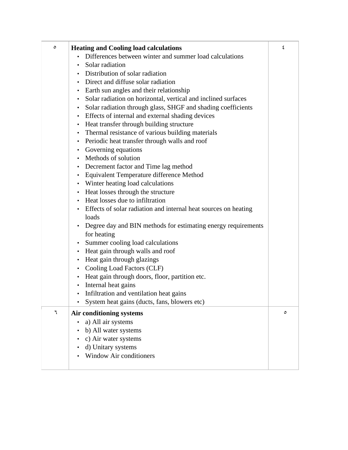| ٥ | <b>Heating and Cooling load calculations</b>                               | ٤ |
|---|----------------------------------------------------------------------------|---|
|   | Differences between winter and summer load calculations                    |   |
|   | Solar radiation                                                            |   |
|   | Distribution of solar radiation                                            |   |
|   | Direct and diffuse solar radiation                                         |   |
|   |                                                                            |   |
|   | Earth sun angles and their relationship<br>$\bullet$                       |   |
|   | Solar radiation on horizontal, vertical and inclined surfaces<br>$\bullet$ |   |
|   | Solar radiation through glass, SHGF and shading coefficients<br>٠          |   |
|   | • Effects of internal and external shading devices                         |   |
|   | • Heat transfer through building structure                                 |   |
|   | Thermal resistance of various building materials<br>$\bullet$              |   |
|   | Periodic heat transfer through walls and roof<br>٠                         |   |
|   | • Governing equations                                                      |   |
|   | • Methods of solution                                                      |   |
|   | • Decrement factor and Time lag method                                     |   |
|   | Equivalent Temperature difference Method<br>$\bullet$                      |   |
|   | • Winter heating load calculations                                         |   |
|   | • Heat losses through the structure                                        |   |
|   | • Heat losses due to infiltration                                          |   |
|   | Effects of solar radiation and internal heat sources on heating            |   |
|   | loads                                                                      |   |
|   | Degree day and BIN methods for estimating energy requirements<br>٠         |   |
|   | for heating                                                                |   |
|   | Summer cooling load calculations<br>$\bullet$                              |   |
|   | • Heat gain through walls and roof                                         |   |
|   | Heat gain through glazings<br>$\bullet$                                    |   |
|   | Cooling Load Factors (CLF)<br>٠                                            |   |
|   | Heat gain through doors, floor, partition etc.<br>٠                        |   |
|   | Internal heat gains<br>$\bullet$                                           |   |
|   | Infiltration and ventilation heat gains                                    |   |
|   | System heat gains (ducts, fans, blowers etc)<br>٠                          |   |
| ٦ | Air conditioning systems                                                   | ٥ |
|   | a) All air systems                                                         |   |
|   | b) All water systems                                                       |   |
|   | c) Air water systems<br>٠                                                  |   |
|   |                                                                            |   |
|   | d) Unitary systems<br><b>Window Air conditioners</b>                       |   |
|   |                                                                            |   |
|   |                                                                            |   |